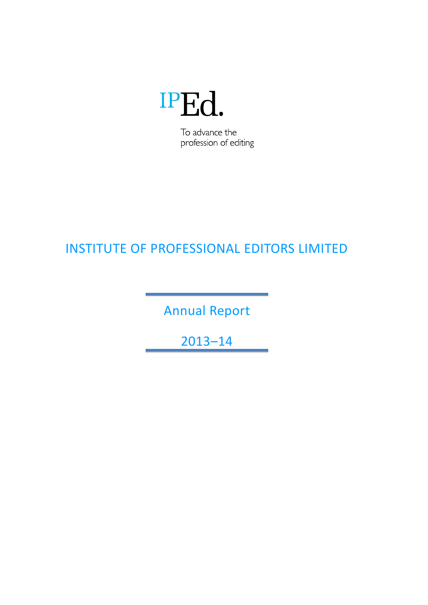

To advance the profession of editing

# INSTITUTE OF PROFESSIONAL EDITORS LIMITED

Annual Report

2013–14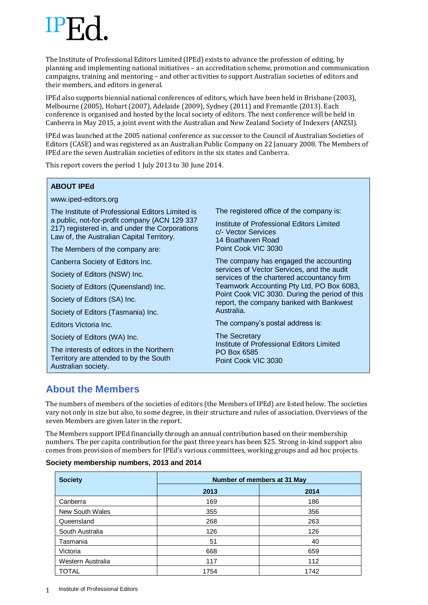The Institute of Professional Editors Limited (IPEd) exists to advance the profession of editing, by planning and implementing national initiatives – an accreditation scheme, promotion and communication campaigns, training and mentoring – and other activities to support Australian societies of editors and their members, and editors in general.

IPEd also supports biennial national conferences of editors, which have been held in Brisbane (2003), Melbourne (2005), Hobart (2007), Adelaide (2009), Sydney (2011) and Fremantle (2013). Each conference is organised and hosted by the local society of editors. The next conference will be held in Canberra in May 2015, a joint event with the Australian and New Zealand Society of Indexers (ANZSI).

IPEd was launched at the 2005 national conference as successor to the Council of Australian Societies of Editors (CASE) and was registered as an Australian Public Company on 22 January 2008. The Members of IPEd are the seven Australian societies of editors in the six states and Canberra.

This report covers the period 1 July 2013 to 30 June 2014.

### **ABOUT IPEd**

www.iped-editors.org

The Institute of Professional Editors Limited is a public, not-for-profit company (ACN 129 337 217) registered in, and under the Corporations Law of, the Australian Capital Territory.

The Members of the company are:

Canberra Society of Editors Inc.

Society of Editors (NSW) Inc.

Society of Editors (Queensland) Inc.

Society of Editors (SA) Inc.

Society of Editors (Tasmania) Inc.

Editors Victoria Inc.

Society of Editors (WA) Inc.

The interests of editors in the Northern Territory are attended to by the South Australian society.

The registered office of the company is:

Institute of Professional Editors Limited c/- Vector Services 14 Boathaven Road Point Cook VIC 3030

The company has engaged the accounting services of Vector Services, and the audit services of the chartered accountancy firm Teamwork Accounting Pty Ltd, PO Box 6083, Point Cook VIC 3030. During the period of this report, the company banked with Bankwest Australia.

The company's postal address is:

The Secretary Institute of Professional Editors Limited PO Box 6585 Point Cook VIC 3030

## **About the Members**

The numbers of members of the societies of editors (the Members of IPEd) are listed below. The societies vary not only in size but also, to some degree, in their structure and rules of association. Overviews of the seven Members are given later in the report.

The Members support IPEd financially through an annual contribution based on their membership numbers. The per capita contribution for the past three years has been \$25. Strong in-kind support also comes from provision of members for IPEd's various committees, working groups and ad hoc projects.

### **Society membership numbers, 2013 and 2014**

| <b>Society</b>         | Number of members at 31 May |      |
|------------------------|-----------------------------|------|
|                        | 2013                        | 2014 |
| Canberra               | 169                         | 186  |
| <b>New South Wales</b> | 355                         | 356  |
| Queensland             | 268                         | 263  |
| South Australia        | 126                         | 126  |
| Tasmania               | 51                          | 40   |
| Victoria               | 668                         | 659  |
| Western Australia      | 117                         | 112  |
| <b>TOTAL</b>           | 1754                        | 1742 |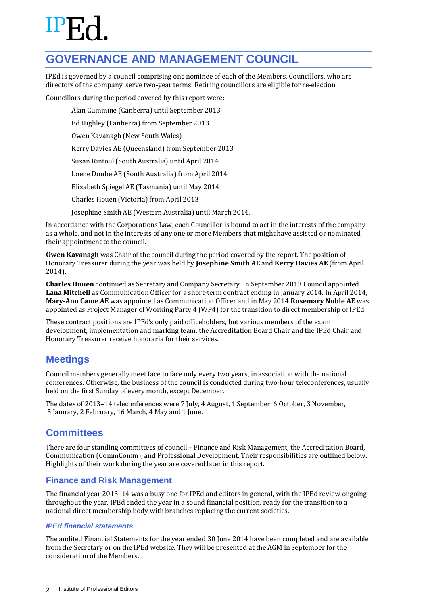# **GOVERNANCE AND MANAGEMENT COUNCIL**

IPEd is governed by a council comprising one nominee of each of the Members. Councillors, who are directors of the company, serve two-year terms. Retiring councillors are eligible for re-election.

Councillors during the period covered by this report were:

Alan Cummine (Canberra) until September 2013 Ed Highley (Canberra) from September 2013 Owen Kavanagh (New South Wales) Kerry Davies AE (Queensland) from September 2013 Susan Rintoul (South Australia) until April 2014 Loene Doube AE (South Australia) from April 2014 Elizabeth Spiegel AE (Tasmania) until May 2014 Charles Houen (Victoria) from April 2013 Josephine Smith AE (Western Australia) until March 2014.

In accordance with the Corporations Law, each Councillor is bound to act in the interests of the company as a whole, and not in the interests of any one or more Members that might have assisted or nominated their appointment to the council.

**Owen Kavanagh** was Chair of the council during the period covered by the report. The position of Honorary Treasurer during the year was held by **Josephine Smith AE** and **Kerry Davies AE** (from April 2014)**.**

**Charles Houen** continued as Secretary and Company Secretary. In September 2013 Council appointed **Lana Mitchell** as Communication Officer for a short-term contract ending in January 2014. In April 2014, **Mary-Ann Came AE** was appointed as Communication Officer and in May 2014 **Rosemary Noble AE** was appointed as Project Manager of Working Party 4 (WP4) for the transition to direct membership of IPEd.

These contract positions are IPEd's only paid officeholders, but various members of the exam development, implementation and marking team, the Accreditation Board Chair and the IPEd Chair and Honorary Treasurer receive honoraria for their services.

## **Meetings**

Council members generally meet face to face only every two years, in association with the national conferences. Otherwise, the business of the council is conducted during two-hour teleconferences, usually held on the first Sunday of every month, except December.

The dates of 2013–14 teleconferences were 7 July, 4 August, 1 September, 6 October, 3 November, 5 January, 2 February, 16 March, 4 May and 1 June.

## **Committees**

There are four standing committees of council – Finance and Risk Management, the Accreditation Board, Communication (CommComm), and Professional Development. Their responsibilities are outlined below. Highlights of their work during the year are covered later in this report.

## **Finance and Risk Management**

The financial year 2013–14 was a busy one for IPEd and editors in general, with the IPEd review ongoing throughout the year. IPEd ended the year in a sound financial position, ready for the transition to a national direct membership body with branches replacing the current societies.

### *IPEd financial statements*

The audited Financial Statements for the year ended 30 June 2014 have been completed and are available from the Secretary or on the IPEd website. They will be presented at the AGM in September for the consideration of the Members.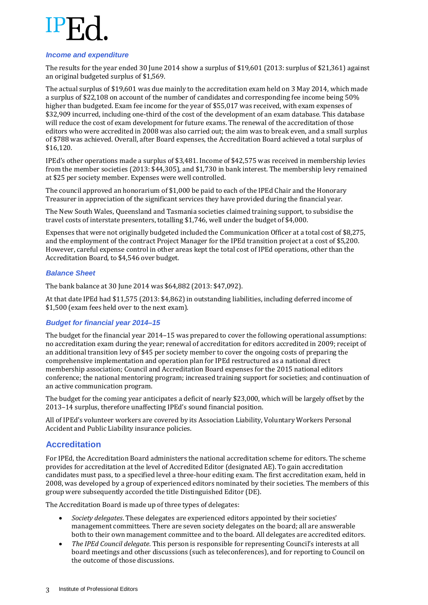### *Income and expenditure*

The results for the year ended 30 June 2014 show a surplus of \$19,601 (2013: surplus of \$21,361) against an original budgeted surplus of \$1,569.

The actual surplus of \$19,601 was due mainly to the accreditation exam held on 3 May 2014, which made a surplus of \$22,108 on account of the number of candidates and corresponding fee income being 50% higher than budgeted. Exam fee income for the year of \$55,017 was received, with exam expenses of \$32,909 incurred, including one-third of the cost of the development of an exam database. This database will reduce the cost of exam development for future exams. The renewal of the accreditation of those editors who were accredited in 2008 was also carried out; the aim was to break even, and a small surplus of \$788 was achieved. Overall, after Board expenses, the Accreditation Board achieved a total surplus of \$16,120.

IPEd's other operations made a surplus of \$3,481. Income of \$42,575 was received in membership levies from the member societies (2013: \$44,305), and \$1,730 in bank interest. The membership levy remained at \$25 per society member. Expenses were well controlled.

The council approved an honorarium of \$1,000 be paid to each of the IPEd Chair and the Honorary Treasurer in appreciation of the significant services they have provided during the financial year.

The New South Wales, Queensland and Tasmania societies claimed training support, to subsidise the travel costs of interstate presenters, totalling \$1,746, well under the budget of \$4,000.

Expenses that were not originally budgeted included the Communication Officer at a total cost of \$8,275, and the employment of the contract Project Manager for the IPEd transition project at a cost of \$5,200. However, careful expense control in other areas kept the total cost of IPEd operations, other than the Accreditation Board, to \$4,546 over budget.

### *Balance Sheet*

The bank balance at 30 June 2014 was \$64,882 (2013: \$47,092).

At that date IPEd had \$11,575 (2013: \$4,862) in outstanding liabilities, including deferred income of \$1,500 (exam fees held over to the next exam).

### *Budget for financial year 2014–15*

The budget for the financial year 2014–15 was prepared to cover the following operational assumptions: no accreditation exam during the year; renewal of accreditation for editors accredited in 2009; receipt of an additional transition levy of \$45 per society member to cover the ongoing costs of preparing the comprehensive implementation and operation plan for IPEd restructured as a national direct membership association; Council and Accreditation Board expenses for the 2015 national editors conference; the national mentoring program; increased training support for societies; and continuation of an active communication program.

The budget for the coming year anticipates a deficit of nearly \$23,000, which will be largely offset by the 2013–14 surplus, therefore unaffecting IPEd's sound financial position.

All of IPEd's volunteer workers are covered by its Association Liability, Voluntary Workers Personal Accident and Public Liability insurance policies.

### **Accreditation**

For IPEd, the Accreditation Board administers the national accreditation scheme for editors. The scheme provides for accreditation at the level of Accredited Editor (designated AE). To gain accreditation candidates must pass, to a specified level a three-hour editing exam. The first accreditation exam, held in 2008, was developed by a group of experienced editors nominated by their societies. The members of this group were subsequently accorded the title Distinguished Editor (DE).

The Accreditation Board is made up of three types of delegates:

- *Society delegates*. These delegates are experienced editors appointed by their societies' management committees. There are seven society delegates on the board; all are answerable both to their own management committee and to the board. All delegates are accredited editors.
- *The IPEd Council delegate.* This person is responsible for representing Council's interests at all board meetings and other discussions (such as teleconferences), and for reporting to Council on the outcome of those discussions.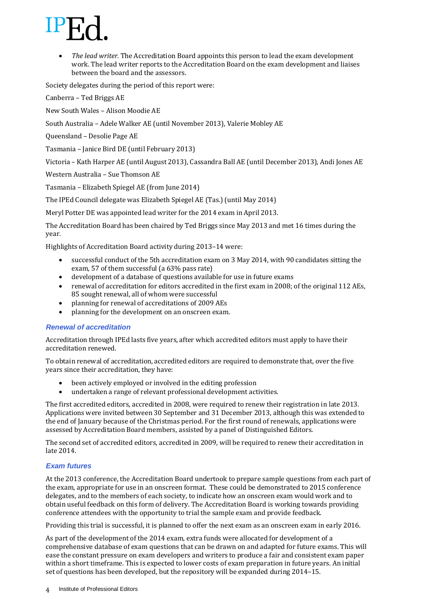*The lead writer.* The Accreditation Board appoints this person to lead the exam development work. The lead writer reports to the Accreditation Board on the exam development and liaises between the board and the assessors.

Society delegates during the period of this report were:

Canberra – Ted Briggs AE

New South Wales – Alison Moodie AE

South Australia – Adele Walker AE (until November 2013), Valerie Mobley AE

Queensland – Desolie Page AE

Tasmania – Janice Bird DE (until February 2013)

Victoria – Kath Harper AE (until August 2013), Cassandra Ball AE (until December 2013), Andi Jones AE

Western Australia – Sue Thomson AE

Tasmania – Elizabeth Spiegel AE (from June 2014)

The IPEd Council delegate was Elizabeth Spiegel AE (Tas.) (until May 2014)

Meryl Potter DE was appointed lead writer for the 2014 exam in April 2013.

The Accreditation Board has been chaired by Ted Briggs since May 2013 and met 16 times during the year.

Highlights of Accreditation Board activity during 2013–14 were:

- successful conduct of the 5th accreditation exam on 3 May 2014, with 90 candidates sitting the exam, 57 of them successful (a 63% pass rate)
- development of a database of questions available for use in future exams
- renewal of accreditation for editors accredited in the first exam in 2008; of the original 112 AEs, 85 sought renewal, all of whom were successful
- planning for renewal of accreditations of 2009 AEs
- planning for the development on an onscreen exam.

### *Renewal of accreditation*

Accreditation through IPEd lasts five years, after which accredited editors must apply to have their accreditation renewed.

To obtain renewal of accreditation, accredited editors are required to demonstrate that, over the five years since their accreditation, they have:

- been actively employed or involved in the editing profession
- undertaken a range of relevant professional development activities.

The first accredited editors, accredited in 2008, were required to renew their registration in late 2013. Applications were invited between 30 September and 31 December 2013, although this was extended to the end of January because of the Christmas period. For the first round of renewals, applications were assessed by Accreditation Board members, assisted by a panel of Distinguished Editors.

The second set of accredited editors, accredited in 2009, will be required to renew their accreditation in late 2014.

### *Exam futures*

At the 2013 conference, the Accreditation Board undertook to prepare sample questions from each part of the exam, appropriate for use in an onscreen format. These could be demonstrated to 2015 conference delegates, and to the members of each society, to indicate how an onscreen exam would work and to obtain useful feedback on this form of delivery. The Accreditation Board is working towards providing conference attendees with the opportunity to trial the sample exam and provide feedback.

Providing this trial is successful, it is planned to offer the next exam as an onscreen exam in early 2016.

As part of the development of the 2014 exam, extra funds were allocated for development of a comprehensive database of exam questions that can be drawn on and adapted for future exams. This will ease the constant pressure on exam developers and writers to produce a fair and consistent exam paper within a short timeframe. This is expected to lower costs of exam preparation in future years. An initial set of questions has been developed, but the repository will be expanded during 2014–15.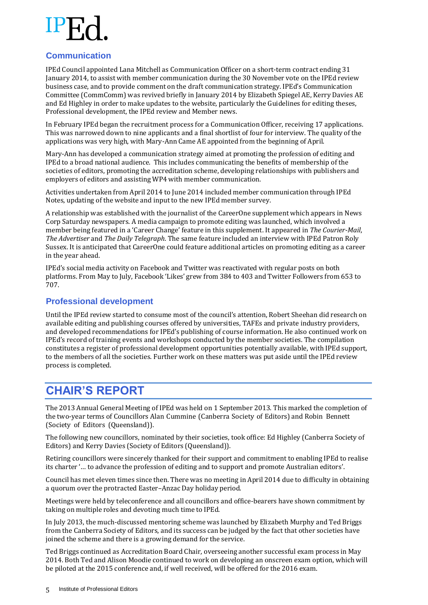## **Communication**

IPEd Council appointed Lana Mitchell as Communication Officer on a short-term contract ending 31 January 2014, to assist with member communication during the 30 November vote on the IPEd review business case, and to provide comment on the draft communication strategy. IPEd's Communication Committee (CommComm) was revived briefly in January 2014 by Elizabeth Spiegel AE, Kerry Davies AE and Ed Highley in order to make updates to the website, particularly the Guidelines for editing theses, Professional development, the IPEd review and Member news.

In February IPEd began the recruitment process for a Communication Officer, receiving 17 applications. This was narrowed down to nine applicants and a final shortlist of four for interview. The quality of the applications was very high, with Mary-Ann Came AE appointed from the beginning of April.

Mary-Ann has developed a communication strategy aimed at promoting the profession of editing and IPEd to a broad national audience. This includes communicating the benefits of membership of the societies of editors, promoting the accreditation scheme, developing relationships with publishers and employers of editors and assisting WP4 with member communication.

Activities undertaken from April 2014 to June 2014 included member communication through IPEd Notes, updating of the website and input to the new IPEd member survey.

A relationship was established with the journalist of the CareerOne supplement which appears in News Corp Saturday newspapers. A media campaign to promote editing was launched, which involved a member being featured in a 'Career Change' feature in this supplement. It appeared in *The Courier-Mail*, *The Advertiser* and *The Daily Telegraph*. The same feature included an interview with IPEd Patron Roly Sussex. It is anticipated that CareerOne could feature additional articles on promoting editing as a career in the year ahead.

IPEd's social media activity on Facebook and Twitter was reactivated with regular posts on both platforms. From May to July, Facebook 'Likes' grew from 384 to 403 and Twitter Followers from 653 to 707.

### **Professional development**

Until the IPEd review started to consume most of the council's attention, Robert Sheehan did research on available editing and publishing courses offered by universities, TAFEs and private industry providers, and developed recommendations for IPEd's publishing of course information. He also continued work on IPEd's record of training events and workshops conducted by the member societies. The compilation constitutes a register of professional development opportunities potentially available, with IPEd support, to the members of all the societies. Further work on these matters was put aside until the IPEd review process is completed.

# **CHAIR'S REPORT**

The 2013 Annual General Meeting of IPEd was held on 1 September 2013. This marked the completion of the two-year terms of Councillors Alan Cummine (Canberra Society of Editors) and Robin Bennett (Society of Editors (Queensland)).

The following new councillors, nominated by their societies, took office: Ed Highley (Canberra Society of Editors) and Kerry Davies (Society of Editors (Queensland)).

Retiring councillors were sincerely thanked for their support and commitment to enabling IPEd to realise its charter '… to advance the profession of editing and to support and promote Australian editors'.

Council has met eleven times since then. There was no meeting in April 2014 due to difficulty in obtaining a quorum over the protracted Easter–Anzac Day holiday period.

Meetings were held by teleconference and all councillors and office-bearers have shown commitment by taking on multiple roles and devoting much time to IPEd.

In July 2013, the much-discussed mentoring scheme was launched by Elizabeth Murphy and Ted Briggs from the Canberra Society of Editors, and its success can be judged by the fact that other societies have joined the scheme and there is a growing demand for the service.

Ted Briggs continued as Accreditation Board Chair, overseeing another successful exam process in May 2014. Both Ted and Alison Moodie continued to work on developing an onscreen exam option, which will be piloted at the 2015 conference and, if well received, will be offered for the 2016 exam.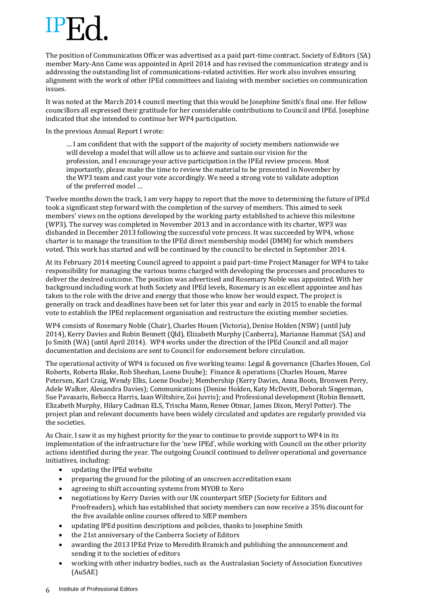The position of Communication Officer was advertised as a paid part-time contract. Society of Editors (SA) member Mary-Ann Came was appointed in April 2014 and has revised the communication strategy and is addressing the outstanding list of communications-related activities. Her work also involves ensuring alignment with the work of other IPEd committees and liaising with member societies on communication issues.

It was noted at the March 2014 council meeting that this would be Josephine Smith's final one. Her fellow councillors all expressed their gratitude for her considerable contributions to Council and IPEd. Josephine indicated that she intended to continue her WP4 participation.

In the previous Annual Report I wrote:

… I am confident that with the support of the majority of society members nationwide we will develop a model that will allow us to achieve and sustain our vision for the profession, and I encourage your active participation in the IPEd review process. Most importantly, please make the time to review the material to be presented in November by the WP3 team and cast your vote accordingly. We need a strong vote to validate adoption of the preferred model …

Twelve months down the track, I am very happy to report that the move to determining the future of IPEd took a significant step forward with the completion of the survey of members. This aimed to seek members' views on the options developed by the working party established to achieve this milestone (WP3). The survey was completed in November 2013 and in accordance with its charter, WP3 was disbanded in December 2013 following the successful vote process. It was succeeded by WP4, whose charter is to manage the transition to the IPEd direct membership model (DMM) for which members voted. This work has started and will be continued by the council to be elected in September 2014.

At its February 2014 meeting Council agreed to appoint a paid part-time Project Manager for WP4 to take responsibility for managing the various teams charged with developing the processes and procedures to deliver the desired outcome. The position was advertised and Rosemary Noble was appointed. With her background including work at both Society and IPEd levels, Rosemary is an excellent appointee and has taken to the role with the drive and energy that those who know her would expect. The project is generally on track and deadlines have been set for later this year and early in 2015 to enable the formal vote to establish the IPEd replacement organisation and restructure the existing member societies.

WP4 consists of Rosemary Noble (Chair), Charles Houen (Victoria), Denise Holden (NSW) (until July 2014), Kerry Davies and Robin Bennett (Qld), Elizabeth Murphy (Canberra), Marianne Hammat (SA) and Jo Smith (WA) (until April 2014). WP4 works under the direction of the IPEd Council and all major documentation and decisions are sent to Council for endorsement before circulation.

The operational activity of WP4 is focused on five working teams: Legal & governance (Charles Houen, Col Roberts, Roberta Blake, Rob Sheehan, Loene Doube); Finance & operations (Charles Houen, Maree Petersen, Karl Craig, Wendy Elks, Loene Doube); Membership (Kerry Davies, Anna Boots, Bronwen Perry, Adele Walker, Alexandra Davies); Communications (Denise Holden, Katy McDevitt, Deborah Singerman, Sue Pavasaris, Rebecca Harris, Iaan Wiltshire, Zoi Juvris); and Professional development (Robin Bennett, Elizabeth Murphy, Hilary Cadman ELS, Trischa Mann, Renee Otmar, James Dixon, Meryl Potter). The project plan and relevant documents have been widely circulated and updates are regularly provided via the societies.

As Chair, I saw it as my highest priority for the year to continue to provide support to WP4 in its implementation of the infrastructure for the 'new IPEd', while working with Council on the other priority actions identified during the year. The outgoing Council continued to deliver operational and governance initiatives, including:

- updating the IPEd website
- preparing the ground for the piloting of an onscreen accreditation exam
- agreeing to shift accounting systems from MYOB to Xero
- negotiations by Kerry Davies with our UK counterpart SfEP (Society for Editors and Proofreaders), which has established that society members can now receive a 35% discount for the five available online courses offered to SfEP members
- updating IPEd position descriptions and policies, thanks to Josephine Smith
- the 21st anniversary of the Canberra Society of Editors
- awarding the 2013 IPEd Prize to Meredith Bramich and publishing the announcement and sending it to the societies of editors
- working with other industry bodies, such as the Australasian Society of Association Executives (AuSAE)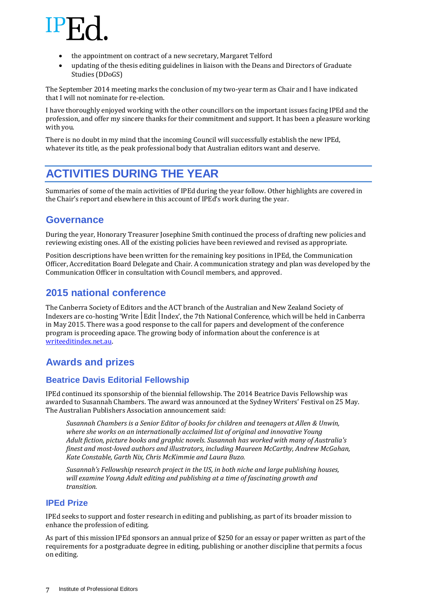- the appointment on contract of a new secretary, Margaret Telford
- updating of the thesis editing guidelines in liaison with the Deans and Directors of Graduate Studies (DDoGS)

The September 2014 meeting marks the conclusion of my two-year term as Chair and I have indicated that I will not nominate for re-election.

I have thoroughly enjoyed working with the other councillors on the important issues facing IPEd and the profession, and offer my sincere thanks for their commitment and support. It has been a pleasure working with you.

There is no doubt in my mind that the incoming Council will successfully establish the new IPEd, whatever its title, as the peak professional body that Australian editors want and deserve.

# **ACTIVITIES DURING THE YEAR**

Summaries of some of the main activities of IPEd during the year follow. Other highlights are covered in the Chair's report and elsewhere in this account of IPEd's work during the year.

## **Governance**

During the year, Honorary Treasurer Josephine Smith continued the process of drafting new policies and reviewing existing ones. All of the existing policies have been reviewed and revised as appropriate.

Position descriptions have been written for the remaining key positions in IPEd, the Communication Officer, Accreditation Board Delegate and Chair. A communication strategy and plan was developed by the Communication Officer in consultation with Council members, and approved.

## **2015 national conference**

The Canberra Society of Editors and the ACT branch of the Australian and New Zealand Society of Indexers are co-hosting 'Write  $\vert$  Edit  $\vert$  Index', the 7th National Conference, which will be held in Canberra in May 2015. There was a good response to the call for papers and development of the conference program is proceeding apace. The growing body of information about the conference is at [writeeditindex.net.au.](http://writeeditindex.net.au/) 

## **Awards and prizes**

## **Beatrice Davis Editorial Fellowship**

IPEd continued its sponsorship of the biennial fellowship. The 2014 Beatrice Davis Fellowship was awarded to Susannah Chambers. The award was announced at the Sydney Writers' Festival on 25 May. The Australian Publishers Association announcement said:

*Susannah Chambers is a Senior Editor of books for children and teenagers at Allen & Unwin, where she works on an internationally acclaimed list of original and innovative Young Adult fiction, picture books and graphic novels. Susannah has worked with many of Australia's finest and most-loved authors and illustrators, including Maureen McCarthy, Andrew McGahan, Kate Constable, Garth Nix, Chris McKimmie and Laura Buzo.* 

*Susannah's Fellowship research project in the US, in both niche and large publishing houses, will examine Young Adult editing and publishing at a time of fascinating growth and transition.*

### **IPEd Prize**

IPEd seeks to support and foster research in editing and publishing, as part of its broader mission to enhance the profession of editing.

As part of this mission IPEd sponsors an annual prize of \$250 for an essay or paper written as part of the requirements for a postgraduate degree in editing, publishing or another discipline that permits a focus on editing.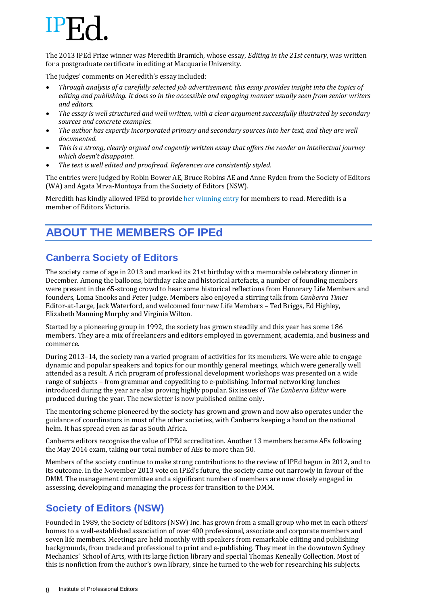The 2013 IPEd Prize winner was Meredith Bramich, whose essay, *Editing in the 21st century*, was written for a postgraduate certificate in editing at Macquarie University.

The judges' comments on Meredith's essay included:

- *Through analysis of a carefully selected job advertisement, this essay provides insight into the topics of editing and publishing. It does so in the accessible and engaging manner usually seen from senior writers and editors.*
- *The essay is well structured and well written, with a clear argument successfully illustrated by secondary sources and concrete examples.*
- *The author has expertly incorporated primary and secondary sources into her text, and they are well documented.*
- *This is a strong, clearly argued and cogently written essay that offers the reader an intellectual journey which doesn't disappoint.*
- *The text is well edited and proofread. References are consistently styled.*

The entries were judged by Robin Bower AE, Bruce Robins AE and Anne Ryden from the Society of Editors (WA) and Agata Mrva-Montoya from the Society of Editors (NSW).

Meredith has kindly allowed IPEd to provide [her winning entry](http://iped-editors.org/site/DefaultSite/filesystem/documents/Meredith%20Bramich%20IPEd%20Prize%20essay%202013.pdf) for members to read. Meredith is a member of Editors Victoria.

# **ABOUT THE MEMBERS OF IPEd**

## **Canberra Society of Editors**

The society came of age in 2013 and marked its 21st birthday with a memorable celebratory dinner in December. Among the balloons, birthday cake and historical artefacts, a number of founding members were present in the 65-strong crowd to hear some historical reflections from Honorary Life Members and founders, Loma Snooks and Peter Judge. Members also enjoyed a stirring talk from *Canberra Times* Editor-at-Large, Jack Waterford, and welcomed four new Life Members – Ted Briggs, Ed Highley, Elizabeth Manning Murphy and Virginia Wilton.

Started by a pioneering group in 1992, the society has grown steadily and this year has some 186 members. They are a mix of freelancers and editors employed in government, academia, and business and commerce.

During 2013–14, the society ran a varied program of activities for its members. We were able to engage dynamic and popular speakers and topics for our monthly general meetings, which were generally well attended as a result. A rich program of professional development workshops was presented on a wide range of subjects – from grammar and copyediting to e-publishing. Informal networking lunches introduced during the year are also proving highly popular. Six issues of *The Canberra Editor* were produced during the year. The newsletter is now published online only.

The mentoring scheme pioneered by the society has grown and grown and now also operates under the guidance of coordinators in most of the other societies, with Canberra keeping a hand on the national helm. It has spread even as far as South Africa.

Canberra editors recognise the value of IPEd accreditation. Another 13 members became AEs following the May 2014 exam, taking our total number of AEs to more than 50.

Members of the society continue to make strong contributions to the review of IPEd begun in 2012, and to its outcome. In the November 2013 vote on IPEd's future, the society came out narrowly in favour of the DMM. The management committee and a significant number of members are now closely engaged in assessing, developing and managing the process for transition to the DMM.

## **Society of Editors (NSW)**

Founded in 1989, the Society of Editors (NSW) Inc. has grown from a small group who met in each others' homes to a well-established association of over 400 professional, associate and corporate members and seven life members. Meetings are held monthly with speakers from remarkable editing and publishing backgrounds, from trade and professional to print and e-publishing. They meet in the downtown Sydney Mechanics' School of Arts, with its large fiction library and special Thomas Keneally Collection. Most of this is nonfiction from the author's own library, since he turned to the web for researching his subjects.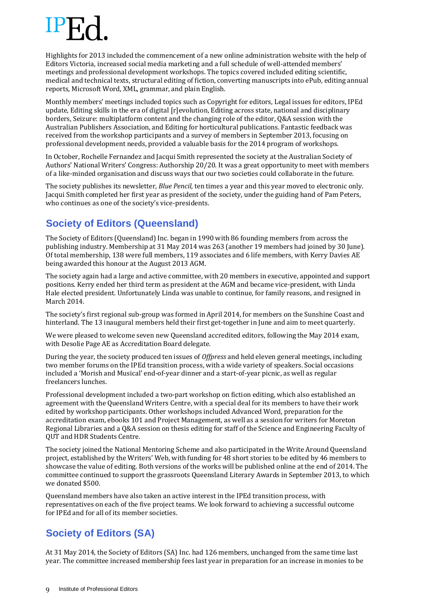Highlights for 2013 included the commencement of a new online administration website with the help of Editors Victoria, increased social media marketing and a full schedule of well-attended members' meetings and professional development workshops. The topics covered included editing scientific, medical and technical texts, structural editing of fiction, converting manuscripts into ePub, editing annual reports, Microsoft Word, XML, grammar, and plain English.

Monthly members' meetings included topics such as Copyright for editors, Legal issues for editors, IPEd update, Editing skills in the era of digital [r]evolution, Editing across state, national and disciplinary borders, Seizure: multiplatform content and the changing role of the editor, Q&A session with the Australian Publishers Association, and Editing for horticultural publications. Fantastic feedback was received from the workshop participants and a survey of members in September 2013, focusing on professional development needs, provided a valuable basis for the 2014 program of workshops.

In October, Rochelle Fernandez and Jacqui Smith represented the society at the Australian Society of Authors' National Writers' Congress: Authorship 20/20. It was a great opportunity to meet with members of a like-minded organisation and discuss ways that our two societies could collaborate in the future.

The society publishes its newsletter, *Blue Pencil*, ten times a year and this year moved to electronic only. Jacqui Smith completed her first year as president of the society, under the guiding hand of Pam Peters, who continues as one of the society's vice-presidents.

# **Society of Editors (Queensland)**

The Society of Editors (Queensland) Inc. began in 1990 with 86 founding members from across the publishing industry. Membership at 31 May 2014 was 263 (another 19 members had joined by 30 June). Of total membership, 138 were full members, 119 associates and 6 life members, with Kerry Davies AE being awarded this honour at the August 2013 AGM.

The society again had a large and active committee, with 20 members in executive, appointed and support positions. Kerry ended her third term as president at the AGM and became vice-president, with Linda Hale elected president. Unfortunately Linda was unable to continue, for family reasons, and resigned in March 2014.

The society's first regional sub-group was formed in April 2014, for members on the Sunshine Coast and hinterland. The 13 inaugural members held their first get-together in June and aim to meet quarterly.

We were pleased to welcome seven new Queensland accredited editors, following the May 2014 exam, with Desolie Page AE as Accreditation Board delegate.

During the year, the society produced ten issues of *Offpress* and held eleven general meetings, including two member forums on the IPEd transition process, with a wide variety of speakers. Social occasions included a 'Morish and Musical' end-of-year dinner and a start-of-year picnic, as well as regular freelancers lunches.

Professional development included a two-part workshop on fiction editing, which also established an agreement with the Queensland Writers Centre, with a special deal for its members to have their work edited by workshop participants. Other workshops included Advanced Word, preparation for the accreditation exam, ebooks 101 and Project Management, as well as a session for writers for Moreton Regional Libraries and a Q&A session on thesis editing for staff of the Science and Engineering Faculty of QUT and HDR Students Centre.

The society joined the National Mentoring Scheme and also participated in the Write Around Queensland project, established by the Writers' Web, with funding for 48 short stories to be edited by 46 members to showcase the value of editing. Both versions of the works will be published online at the end of 2014. The committee continued to support the grassroots Queensland Literary Awards in September 2013, to which we donated \$500.

Queensland members have also taken an active interest in the IPEd transition process, with representatives on each of the five project teams. We look forward to achieving a successful outcome for IPEd and for all of its member societies.

# **Society of Editors (SA)**

At 31 May 2014, the Society of Editors (SA) Inc. had 126 members, unchanged from the same time last year. The committee increased membership fees last year in preparation for an increase in monies to be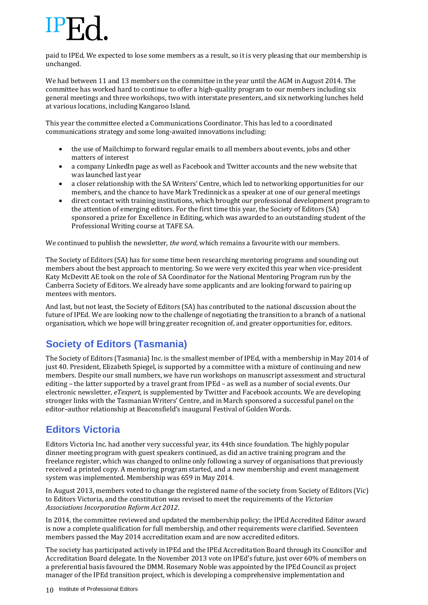paid to IPEd. We expected to lose some members as a result, so it is very pleasing that our membership is unchanged.

We had between 11 and 13 members on the committee in the year until the AGM in August 2014. The committee has worked hard to continue to offer a high-quality program to our members including six general meetings and three workshops, two with interstate presenters, and six networking lunches held at various locations, including Kangaroo Island.

This year the committee elected a Communications Coordinator. This has led to a coordinated communications strategy and some long-awaited innovations including:

- the use of Mailchimp to forward regular emails to all members about events, jobs and other matters of interest
- a company LinkedIn page as well as Facebook and Twitter accounts and the new website that was launched last year
- a closer relationship with the SA Writers' Centre, which led to networking opportunities for our members, and the chance to have Mark Tredinnick as a speaker at one of our general meetings
- direct contact with training institutions, which brought our professional development program to the attention of emerging editors. For the first time this year, the Society of Editors (SA) sponsored a prize for Excellence in Editing, which was awarded to an outstanding student of the Professional Writing course at TAFE SA.

We continued to publish the newsletter, *the word,* which remains a favourite with our members.

The Society of Editors (SA) has for some time been researching mentoring programs and sounding out members about the best approach to mentoring. So we were very excited this year when vice-president Katy McDevitt AE took on the role of SA Coordinator for the National Mentoring Program run by the Canberra Society of Editors. We already have some applicants and are looking forward to pairing up mentees with mentors.

And last, but not least, the Society of Editors (SA) has contributed to the national discussion about the future of IPEd. We are looking now to the challenge of negotiating the transition to a branch of a national organisation, which we hope will bring greater recognition of, and greater opportunities for, editors.

# **Society of Editors (Tasmania)**

The Society of Editors (Tasmania) Inc. is the smallest member of IPEd, with a membership in May 2014 of just 40. President, Elizabeth Spiegel, is supported by a committee with a mixture of continuing and new members. Despite our small numbers, we have run workshops on manuscript assessment and structural editing – the latter supported by a travel grant from IPEd – as well as a number of social events. Our electronic newsletter, *eTexpert*, is supplemented by Twitter and Facebook accounts. We are developing stronger links with the Tasmanian Writers' Centre, and in March sponsored a successful panel on the editor–author relationship at Beaconsfield's inaugural Festival of Golden Words.

## **Editors Victoria**

Editors Victoria Inc. had another very successful year, its 44th since foundation. The highly popular dinner meeting program with guest speakers continued, as did an active training program and the freelance register, which was changed to online only following a survey of organisations that previously received a printed copy. A mentoring program started, and a new membership and event management system was implemented. Membership was 659 in May 2014.

In August 2013, members voted to change the registered name of the society from Society of Editors (Vic) to Editors Victoria, and the constitution was revised to meet the requirements of the *Victorian Associations Incorporation Reform Act 2012*.

In 2014, the committee reviewed and updated the membership policy; the IPEd Accredited Editor award is now a complete qualification for full membership, and other requirements were clarified. Seventeen members passed the May 2014 accreditation exam and are now accredited editors.

The society has participated actively in IPEd and the IPEd Accreditation Board through its Councillor and Accreditation Board delegate. In the November 2013 vote on IPEd's future, just over 60% of members on a preferential basis favoured the DMM. Rosemary Noble was appointed by the IPEd Council as project manager of the IPEd transition project, which is developing a comprehensive implementation and